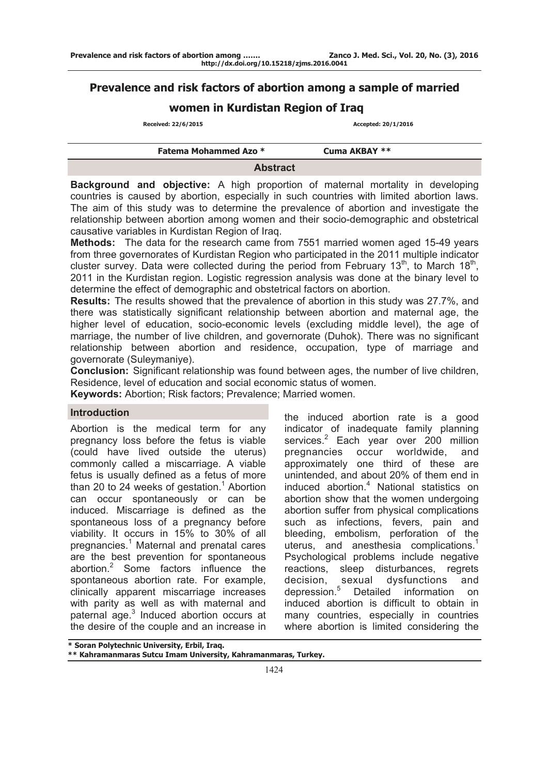# **Prevalence and risk factors of abortion among a sample of married**

# **women in Kurdistan Region of Iraq**

 **Received: 22/6/2015 Accepted: 20/1/2016**

| <b>Fatema Mohammed Azo *</b> | Cuma AKBAY ** |
|------------------------------|---------------|
| <b>Abstract</b>              |               |

**Background and objective:** A high proportion of maternal mortality in developing countries is caused by abortion, especially in such countries with limited abortion laws. The aim of this study was to determine the prevalence of abortion and investigate the relationship between abortion among women and their socio-demographic and obstetrical causative variables in Kurdistan Region of Iraq.

**Methods:** The data for the research came from 7551 married women aged 15-49 years from three governorates of Kurdistan Region who participated in the 2011 multiple indicator cluster survey. Data were collected during the period from February 13<sup>th</sup>, to March 18<sup>th</sup>, 2011 in the Kurdistan region. Logistic regression analysis was done at the binary level to determine the effect of demographic and obstetrical factors on abortion.

**Results:** The results showed that the prevalence of abortion in this study was 27.7%, and there was statistically significant relationship between abortion and maternal age, the higher level of education, socio-economic levels (excluding middle level), the age of marriage, the number of live children, and governorate (Duhok). There was no significant relationship between abortion and residence, occupation, type of marriage and governorate (Suleymaniye).

**Conclusion:** Significant relationship was found between ages, the number of live children, Residence, level of education and social economic status of women.

**Keywords:** Abortion; Risk factors; Prevalence; Married women.

#### **Introduction**

Abortion is the medical term for any pregnancy loss before the fetus is viable (could have lived outside the uterus) commonly called a miscarriage. A viable fetus is usually defined as a fetus of more than 20 to 24 weeks of gestation.<sup>1</sup> Abortion can occur spontaneously or can be induced. Miscarriage is defined as the spontaneous loss of a pregnancy before viability. It occurs in 15% to 30% of all pregnancies.<sup>1</sup> Maternal and prenatal cares are the best prevention for spontaneous abortion.<sup>2</sup> Some factors influence the spontaneous abortion rate. For example, clinically apparent miscarriage increases with parity as well as with maternal and paternal age.<sup>3</sup> Induced abortion occurs at the desire of the couple and an increase in

the induced abortion rate is a good indicator of inadequate family planning services.<sup>2</sup> Each year over 200 million pregnancies occur worldwide, and approximately one third of these are unintended, and about 20% of them end in induced abortion.<sup>4</sup> National statistics on abortion show that the women undergoing abortion suffer from physical complications such as infections, fevers, pain and bleeding, embolism, perforation of the uterus, and anesthesia complications.<sup>1</sup> Psychological problems include negative reactions, sleep disturbances, regrets decision, sexual dysfunctions and depression.<sup>5</sup> Detailed information on induced abortion is difficult to obtain in many countries, especially in countries where abortion is limited considering the

**\* Soran Polytechnic University, Erbil, Iraq.** 

**\*\* Kahramanmaras Sutcu Imam University, Kahramanmaras, Turkey.**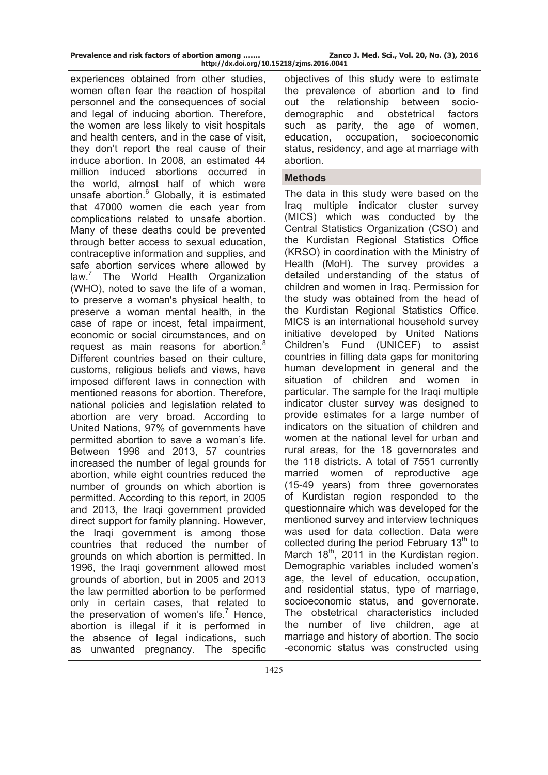| Prevalence and risk factors of abortion among | Zanco J. Med. Sci., Vol. 20, No. (3), 2016 |
|-----------------------------------------------|--------------------------------------------|
| http://dx.doi.org/10.15218/zjms.2016.0041     |                                            |

experiences obtained from other studies, women often fear the reaction of hospital personnel and the consequences of social and legal of inducing abortion. Therefore, the women are less likely to visit hospitals and health centers, and in the case of visit, they don't report the real cause of their induce abortion. In 2008, an estimated 44 million induced abortions occurred in the world, almost half of which were unsafe abortion.<sup>6</sup> Globally, it is estimated that 47000 women die each year from complications related to unsafe abortion. Many of these deaths could be prevented through better access to sexual education, contraceptive information and supplies, and safe abortion services where allowed by  $law<sup>7</sup>$  The World Health Organization (WHO), noted to save the life of a woman, to preserve a woman's physical health, to preserve a woman mental health, in the case of rape or incest, fetal impairment, economic or social circumstances, and on request as main reasons for abortion.<sup>8</sup> Different countries based on their culture, customs, religious beliefs and views, have imposed different laws in connection with mentioned reasons for abortion. Therefore, national policies and legislation related to abortion are very broad. According to United Nations, 97% of governments have permitted abortion to save a woman's life. Between 1996 and 2013, 57 countries increased the number of legal grounds for abortion, while eight countries reduced the number of grounds on which abortion is permitted. According to this report, in 2005 and 2013, the Iraqi government provided direct support for family planning. However, the Iraqi government is among those countries that reduced the number of grounds on which abortion is permitted. In 1996, the Iraqi government allowed most grounds of abortion, but in 2005 and 2013 the law permitted abortion to be performed only in certain cases, that related to the preservation of women's life.<sup>7</sup> Hence, abortion is illegal if it is performed in the absence of legal indications, such as unwanted pregnancy. The specific

2 1425

objectives of this study were to estimate the prevalence of abortion and to find out the relationship between sociodemographic and obstetrical factors such as parity, the age of women, education, occupation, socioeconomic status, residency, and age at marriage with abortion.

#### **Methods**

The data in this study were based on the Iraq multiple indicator cluster survey (MICS) which was conducted by the Central Statistics Organization (CSO) and the Kurdistan Regional Statistics Office (KRSO) in coordination with the Ministry of Health (MoH). The survey provides a detailed understanding of the status of children and women in Iraq. Permission for the study was obtained from the head of the Kurdistan Regional Statistics Office. MICS is an international household survey initiative developed by United Nations Children's Fund (UNICEF) to assist countries in filling data gaps for monitoring human development in general and the situation of children and women in particular. The sample for the Iraqi multiple indicator cluster survey was designed to provide estimates for a large number of indicators on the situation of children and women at the national level for urban and rural areas, for the 18 governorates and the 118 districts. A total of 7551 currently married women of reproductive age (15-49 years) from three governorates of Kurdistan region responded to the questionnaire which was developed for the mentioned survey and interview techniques was used for data collection. Data were collected during the period February  $13<sup>th</sup>$  to March  $18<sup>th</sup>$ , 2011 in the Kurdistan region. Demographic variables included women's age, the level of education, occupation, and residential status, type of marriage, socioeconomic status, and governorate. The obstetrical characteristics included the number of live children, age at marriage and history of abortion. The socio -economic status was constructed using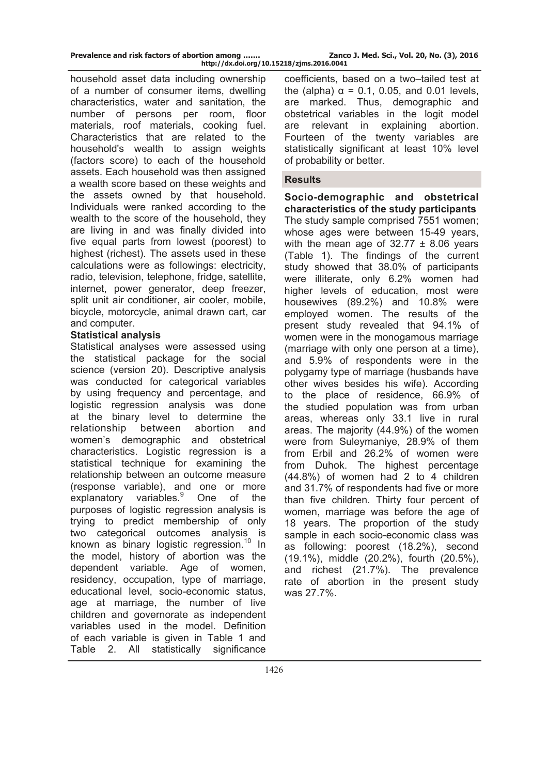| Prevalence and risk factors of abortion among |  |                        |
|-----------------------------------------------|--|------------------------|
|                                               |  | http://dx.doi.org/10.1 |

Zanco J. Med. Sci., Vol. 20, No. (3), 2016 **http://dx.doi.org/10.15218/zjms.2016.0041**

household asset data including ownership of a number of consumer items, dwelling characteristics, water and sanitation, the number of persons per room, floor materials, roof materials, cooking fuel. Characteristics that are related to the household's wealth to assign weights (factors score) to each of the household assets. Each household was then assigned a wealth score based on these weights and the assets owned by that household. Individuals were ranked according to the wealth to the score of the household, they are living in and was finally divided into five equal parts from lowest (poorest) to highest (richest). The assets used in these calculations were as followings: electricity, radio, television, telephone, fridge, satellite, internet, power generator, deep freezer, split unit air conditioner, air cooler, mobile, bicycle, motorcycle, animal drawn cart, car and computer.

#### **Statistical analysis**

Statistical analyses were assessed using the statistical package for the social science (version 20). Descriptive analysis was conducted for categorical variables by using frequency and percentage, and logistic regression analysis was done at the binary level to determine the relationship between abortion and women's demographic and obstetrical characteristics. Logistic regression is a statistical technique for examining the relationship between an outcome measure (response variable), and one or more explanatory variables.<sup>9</sup> One of the purposes of logistic regression analysis is trying to predict membership of only two categorical outcomes analysis is known as binary logistic regression.<sup>10</sup> In the model, history of abortion was the dependent variable. Age of women, residency, occupation, type of marriage, educational level, socio-economic status, age at marriage, the number of live children and governorate as independent variables used in the model. Definition of each variable is given in Table 1 and Table 2. All statistically significance

coefficients, based on a two–tailed test at the (alpha)  $\alpha = 0.1$ , 0.05, and 0.01 levels. are marked. Thus, demographic and obstetrical variables in the logit model are relevant in explaining abortion. Fourteen of the twenty variables are statistically significant at least 10% level of probability or better.

### **Results**

**Socio-demographic and obstetrical characteristics of the study participants**  The study sample comprised 7551 women; whose ages were between 15-49 years, with the mean age of  $32.77 \pm 8.06$  years (Table 1). The findings of the current study showed that 38.0% of participants were illiterate, only 6.2% women had higher levels of education, most were housewives (89.2%) and 10.8% were employed women. The results of the present study revealed that 94.1% of women were in the monogamous marriage (marriage with only one person at a time), and 5.9% of respondents were in the polygamy type of marriage (husbands have other wives besides his wife). According to the place of residence, 66.9% of the studied population was from urban areas, whereas only 33.1 live in rural areas. The majority (44.9%) of the women were from Suleymaniye, 28.9% of them from Erbil and 26.2% of women were from Duhok. The highest percentage (44.8%) of women had 2 to 4 children and 31.7% of respondents had five or more than five children. Thirty four percent of women, marriage was before the age of 18 years. The proportion of the study sample in each socio-economic class was as following: poorest (18.2%), second (19.1%), middle (20.2%), fourth (20.5%), and richest (21.7%). The prevalence rate of abortion in the present study was 27.7%.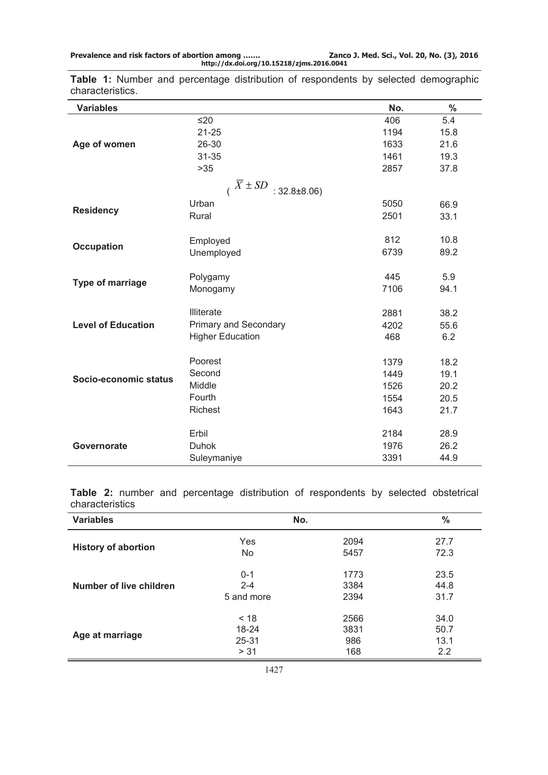**Prevalence and risk factors of abortion among ……. Zanco J. Med. Sci., Vol. 20, No. (3), 2016 http://dx.doi.org/10.15218/zjms.2016.0041**

**Variables No. % Age of women**  $≤20$  5.4 21-25 1194 15.8 26-30 1633 21.6 31-35 1461 19.3 >35 2857 37.8  $\sqrt{X} \pm SD$  : 32.8±8.06) **Residency** Urban 66.9 Rural 2501 33.1 **Occupation** Employed 812 10.8 Unemployed 6739 89.2 **Type of marriage** Polygamy **Polygamy** 445 5.9<br>Monogamy **106** 94.1 Monogamy **Level of Education** Illiterate 2881 38.2 Primary and Secondary 1980 1991 1992 4202 55.6 Higher Education **468** 6.2 **Socio-economic status** Poorest 2012 1379 18.2 Second 1449 19.1

**Table 1:** Number and percentage distribution of respondents by selected demographic characteristics.

|                 |  |  |  | <b>Table 2:</b> number and percentage distribution of respondents by selected obstetrical |  |  |
|-----------------|--|--|--|-------------------------------------------------------------------------------------------|--|--|
| characteristics |  |  |  |                                                                                           |  |  |

Richest 21.7

**Governorate**

Middle 20.2 Fourth 1554 20.5

Erbil 2184 28.9 Duhok 1976 26.2 Suleymaniye 3391 44.9

| <b>Variables</b>           | No.        | $\frac{0}{0}$ |      |
|----------------------------|------------|---------------|------|
| <b>History of abortion</b> | Yes        | 2094          | 27.7 |
|                            | No         | 5457          | 72.3 |
| Number of live children    | $0 - 1$    | 1773          | 23.5 |
|                            | $2 - 4$    | 3384          | 44.8 |
|                            | 5 and more | 2394          | 31.7 |
| Age at marriage            | < 18       | 2566          | 34.0 |
|                            | 18-24      | 3831          | 50.7 |
|                            | $25 - 31$  | 986           | 13.1 |
|                            | > 31       | 168           | 2.2  |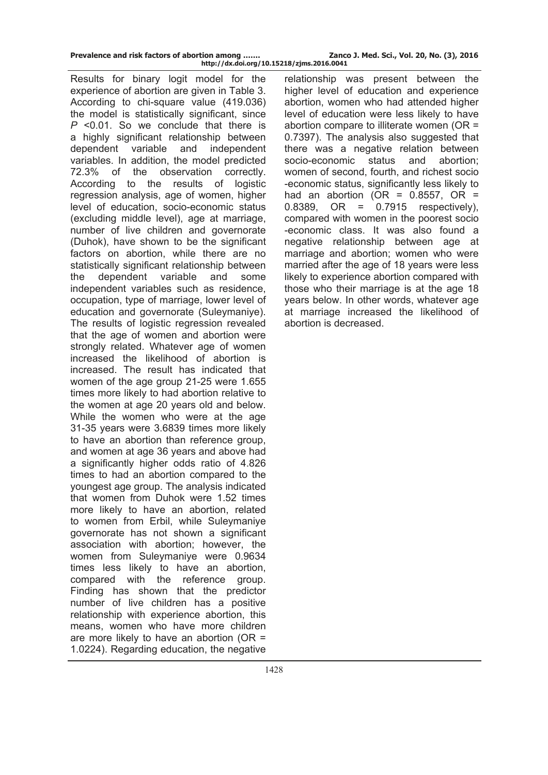| Prevalence and risk factors of abortion among | Zanco J. Med. Sci., Vol. 20, No. (3), 2016 |
|-----------------------------------------------|--------------------------------------------|
| http://dx.doi.org/10.15218/zjms.2016.0041     |                                            |

Results for binary logit model for the experience of abortion are given in Table 3. According to chi-square value (419.036) the model is statistically significant, since *P* <0.01. So we conclude that there is a highly significant relationship between dependent variable and independent variables. In addition, the model predicted 72.3% of the observation correctly. According to the results of logistic regression analysis, age of women, higher level of education, socio-economic status (excluding middle level), age at marriage, number of live children and governorate (Duhok), have shown to be the significant factors on abortion, while there are no statistically significant relationship between the dependent variable and some independent variables such as residence, occupation, type of marriage, lower level of education and governorate (Suleymaniye). The results of logistic regression revealed that the age of women and abortion were strongly related. Whatever age of women increased the likelihood of abortion is increased. The result has indicated that women of the age group 21-25 were 1.655 times more likely to had abortion relative to the women at age 20 years old and below. While the women who were at the age 31-35 years were 3.6839 times more likely to have an abortion than reference group, and women at age 36 years and above had a significantly higher odds ratio of 4.826 times to had an abortion compared to the youngest age group. The analysis indicated that women from Duhok were 1.52 times more likely to have an abortion, related to women from Erbil, while Suleymaniye governorate has not shown a significant association with abortion; however, the women from Suleymaniye were 0.9634 times less likely to have an abortion, compared with the reference group. Finding has shown that the predictor number of live children has a positive relationship with experience abortion, this means, women who have more children are more likely to have an abortion (OR = 1.0224). Regarding education, the negative

relationship was present between the higher level of education and experience abortion, women who had attended higher level of education were less likely to have abortion compare to illiterate women (OR = 0.7397). The analysis also suggested that there was a negative relation between socio-economic status and abortion; women of second, fourth, and richest socio -economic status, significantly less likely to had an abortion (OR =  $0.8557$ , OR =  $0.8389$ , OR =  $0.7915$  respectively), compared with women in the poorest socio -economic class. It was also found a negative relationship between age at marriage and abortion; women who were married after the age of 18 years were less likely to experience abortion compared with those who their marriage is at the age 18 years below. In other words, whatever age at marriage increased the likelihood of abortion is decreased.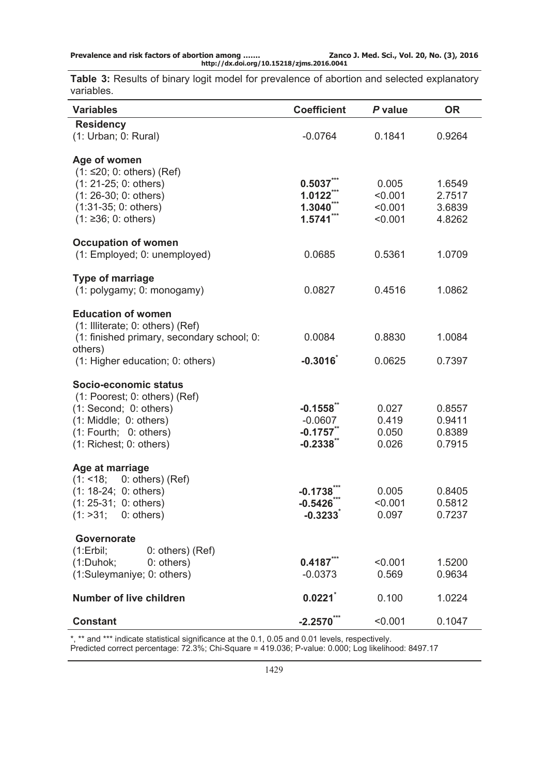| Prevalence and risk factors of abortion among | Zanco. |
|-----------------------------------------------|--------|
| http://dx.doi.org/10.15218/zjms.2016.0041     |        |

**Table 3:** Results of binary logit model for prevalence of abortion and selected explanatory variables.

| <b>Variables</b>                                                                                                                                                | <b>Coefficient</b>                                     | P value                                | <b>OR</b>                            |
|-----------------------------------------------------------------------------------------------------------------------------------------------------------------|--------------------------------------------------------|----------------------------------------|--------------------------------------|
| <b>Residency</b><br>(1: Urban; 0: Rural)                                                                                                                        | $-0.0764$                                              | 0.1841                                 | 0.9264                               |
| Age of women<br>$(1: 520; 0: others)$ (Ref)<br>$(1: 21-25; 0: others)$<br>$(1: 26-30; 0: others)$<br>$(1:31-35; 0: others)$<br>$(1: \ge 36; 0: others)$         | 0.5037<br>1.0122<br>1.3040<br>1.5741                   | 0.005<br>< 0.001<br>< 0.001<br>< 0.001 | 1.6549<br>2.7517<br>3.6839<br>4.8262 |
| <b>Occupation of women</b><br>(1: Employed; 0: unemployed)                                                                                                      | 0.0685                                                 | 0.5361                                 | 1.0709                               |
| <b>Type of marriage</b><br>(1: polygamy; 0: monogamy)                                                                                                           | 0.0827                                                 | 0.4516                                 | 1.0862                               |
| <b>Education of women</b><br>(1: Illiterate; 0: others) (Ref)<br>(1: finished primary, secondary school; 0:<br>others)<br>(1: Higher education; 0: others)      | 0.0084<br>$-0.3016$                                    | 0.8830<br>0.0625                       | 1.0084<br>0.7397                     |
| Socio-economic status<br>(1: Poorest; 0: others) (Ref)<br>(1: Second; 0: others)<br>(1: Middle; 0: others)<br>(1: Fourth; 0: others)<br>(1: Richest; 0: others) | $-0.1558$<br>$-0.0607$<br>$-0.1757$ **<br>$-0.2338$ ** | 0.027<br>0.419<br>0.050<br>0.026       | 0.8557<br>0.9411<br>0.8389<br>0.7915 |
| Age at marriage<br>(1: 18)<br>0: others) (Ref)<br>$(1: 18-24; 0: others)$<br>$(1: 25-31; 0: others)$<br>(1: >31; 0: others)                                     | $-0.1738$<br>$-0.5426$<br>$-0.3233$                    | 0.005<br>< 0.001<br>0.097              | 0.8405<br>0.5812<br>0.7237           |
| Governorate<br>(1:Erbil;<br>$0:$ others) (Ref)<br>(1:Duhok;<br>0: others)<br>(1:Suleymaniye; 0: others)                                                         | 0.4187'''<br>$-0.0373$                                 | < 0.001<br>0.569                       | 1.5200<br>0.9634                     |
| <b>Number of live children</b>                                                                                                                                  | 0.0221                                                 | 0.100                                  | 1.0224                               |
| <b>Constant</b>                                                                                                                                                 | $-2.2570$ ***                                          | < 0.001                                | 0.1047                               |

\*, \*\* and \*\*\* indicate statistical significance at the 0.1, 0.05 and 0.01 levels, respectively.

Predicted correct percentage: 72.3%; Chi-Square = 419.036; P-value: 0.000; Log likelihood: 8497.17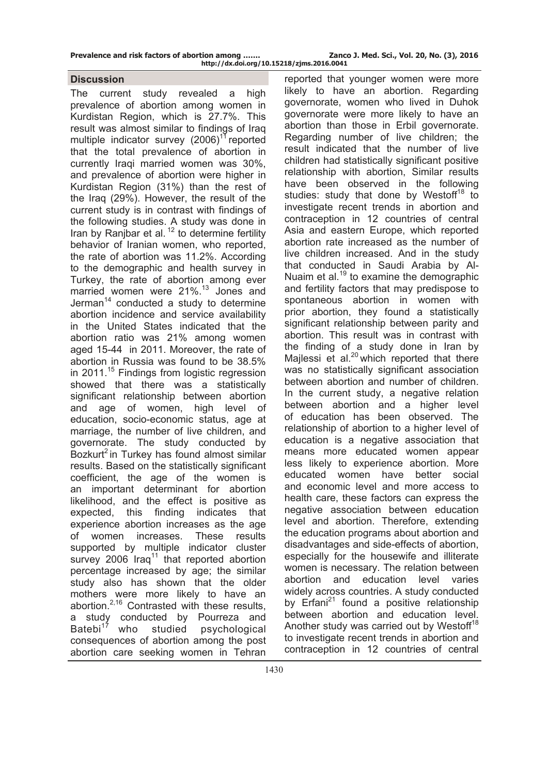| Prevalence and risk factors of abortion among |  |  |  |                       |
|-----------------------------------------------|--|--|--|-----------------------|
|                                               |  |  |  | http://dv/doi.org/101 |

### **Discussion**

The current study revealed a high prevalence of abortion among women in Kurdistan Region, which is 27.7%. This result was almost similar to findings of Iraq multiple indicator survey  $(2006)^{11}$  reported that the total prevalence of abortion in currently Iraqi married women was 30%, and prevalence of abortion were higher in Kurdistan Region (31%) than the rest of the Iraq (29%). However, the result of the current study is in contrast with findings of the following studies. A study was done in Iran by Ranjbar et al.  $12$  to determine fertility behavior of Iranian women, who reported, the rate of abortion was 11.2%. According to the demographic and health survey in Turkey, the rate of abortion among ever married women were 21%.<sup>13</sup> Jones and Jerman $14$  conducted a study to determine abortion incidence and service availability in the United States indicated that the abortion ratio was 21% among women aged 15-44 in 2011. Moreover, the rate of abortion in Russia was found to be 38.5% in 2011.<sup>15</sup> Findings from logistic regression showed that there was a statistically significant relationship between abortion and age of women, high level of education, socio-economic status, age at marriage, the number of live children, and governorate. The study conducted by Bozkurt<sup>2</sup> in Turkey has found almost similar results. Based on the statistically significant coefficient, the age of the women is an important determinant for abortion likelihood, and the effect is positive as expected, this finding indicates that experience abortion increases as the age of women increases. These results supported by multiple indicator cluster survey 2006 Iraq<sup>11</sup> that reported abortion percentage increased by age; the similar study also has shown that the older mothers were more likely to have an abortion.2,16 Contrasted with these results, a study conducted by Pourreza and Batebi $17$  who studied psychological consequences of abortion among the post abortion care seeking women in Tehran

reported that younger women were more likely to have an abortion. Regarding governorate, women who lived in Duhok governorate were more likely to have an abortion than those in Erbil governorate. Regarding number of live children; the result indicated that the number of live children had statistically significant positive relationship with abortion, Similar results have been observed in the following studies: study that done by Westoff<sup>18</sup> to investigate recent trends in abortion and contraception in 12 countries of central Asia and eastern Europe, which reported abortion rate increased as the number of live children increased. And in the study that conducted in Saudi Arabia by Al-Nuaim et al. $19$  to examine the demographic and fertility factors that may predispose to spontaneous abortion in women with prior abortion, they found a statistically significant relationship between parity and abortion. This result was in contrast with the finding of a study done in Iran by Mailessi et al. $^{20}$  which reported that there was no statistically significant association between abortion and number of children. In the current study, a negative relation between abortion and a higher level of education has been observed. The relationship of abortion to a higher level of education is a negative association that means more educated women appear less likely to experience abortion. More educated women have better social and economic level and more access to health care, these factors can express the negative association between education level and abortion. Therefore, extending the education programs about abortion and disadvantages and side-effects of abortion, especially for the housewife and illiterate women is necessary. The relation between abortion and education level varies widely across countries. A study conducted by Erfani<sup>21</sup> found a positive relationship between abortion and education level. Another study was carried out by Westoff<sup>18</sup> to investigate recent trends in abortion and contraception in 12 countries of central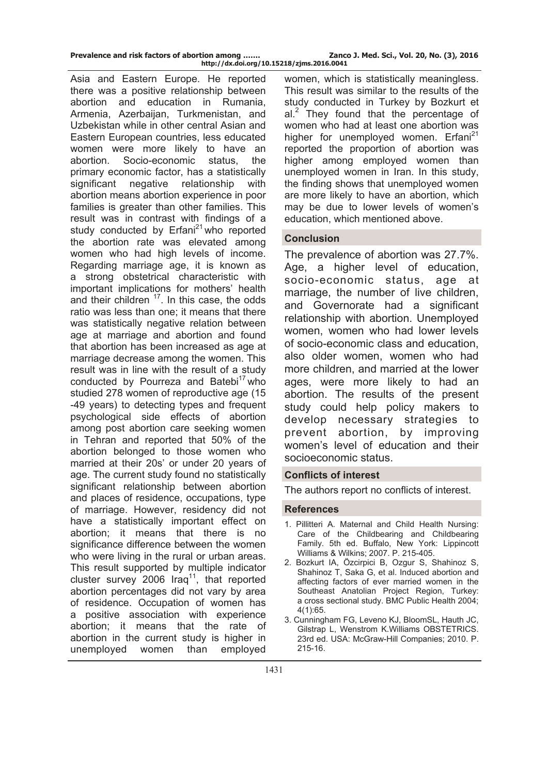| Prevalence and risk factors of abortion among |  |  |                            |
|-----------------------------------------------|--|--|----------------------------|
|                                               |  |  | http://dx.doi.org/10.15218 |

Asia and Eastern Europe. He reported there was a positive relationship between abortion and education in Rumania, Armenia, Azerbaijan, Turkmenistan, and Uzbekistan while in other central Asian and Eastern European countries, less educated women were more likely to have an abortion. Socio-economic status, the primary economic factor, has a statistically significant negative relationship with abortion means abortion experience in poor families is greater than other families. This result was in contrast with findings of a study conducted by  $Erfani^{21}$  who reported the abortion rate was elevated among women who had high levels of income. Regarding marriage age, it is known as a strong obstetrical characteristic with important implications for mothers' health and their children  $17$ . In this case, the odds ratio was less than one; it means that there was statistically negative relation between age at marriage and abortion and found that abortion has been increased as age at marriage decrease among the women. This result was in line with the result of a study conducted by Pourreza and Batebi $17$  who studied 278 women of reproductive age (15 -49 years) to detecting types and frequent psychological side effects of abortion among post abortion care seeking women in Tehran and reported that 50% of the abortion belonged to those women who married at their 20s' or under 20 years of age. The current study found no statistically significant relationship between abortion and places of residence, occupations, type of marriage. However, residency did not have a statistically important effect on abortion; it means that there is no significance difference between the women who were living in the rural or urban areas. This result supported by multiple indicator cluster survey 2006 Iraq<sup>11</sup>, that reported abortion percentages did not vary by area of residence. Occupation of women has a positive association with experience abortion; it means that the rate of abortion in the current study is higher in unemployed women than employed

women, which is statistically meaningless. This result was similar to the results of the study conducted in Turkey by Bozkurt et al.<sup>2</sup> They found that the percentage of women who had at least one abortion was higher for unemployed women. Erfani<sup>21</sup> reported the proportion of abortion was higher among employed women than unemployed women in Iran. In this study, the finding shows that unemployed women are more likely to have an abortion, which may be due to lower levels of women's education, which mentioned above.

## **Conclusion**

The prevalence of abortion was 27.7%. Age, a higher level of education, socio-economic status, age at marriage, the number of live children, and Governorate had a significant relationship with abortion. Unemployed women, women who had lower levels of socio-economic class and education, also older women, women who had more children, and married at the lower ages, were more likely to had an abortion. The results of the present study could help policy makers to develop necessary strategies to prevent abortion, by improving women's level of education and their socioeconomic status.

## **Conflicts of interest**

The authors report no conflicts of interest.

### **References**

- 1. Pillitteri A. Maternal and Child Health Nursing: Care of the Childbearing and Childbearing Family. 5th ed. Buffalo, New York: Lippincott Williams & Wilkins; 2007. P. 215-405.
- 2. Bozkurt IA, Özcirpici B, Ozgur S, Shahinoz S, Shahinoz T, Saka G, et al. Induced abortion and affecting factors of ever married women in the Southeast Anatolian Project Region, Turkey: a cross sectional study. BMC Public Health 2004; 4(1):65.
- 3. Cunningham FG, Leveno KJ, BloomSL, Hauth JC, Gilstrap L, Wenstrom K.Williams OBSTETRICS. 23rd ed. USA: McGraw-Hill Companies; 2010. P. 215-16.